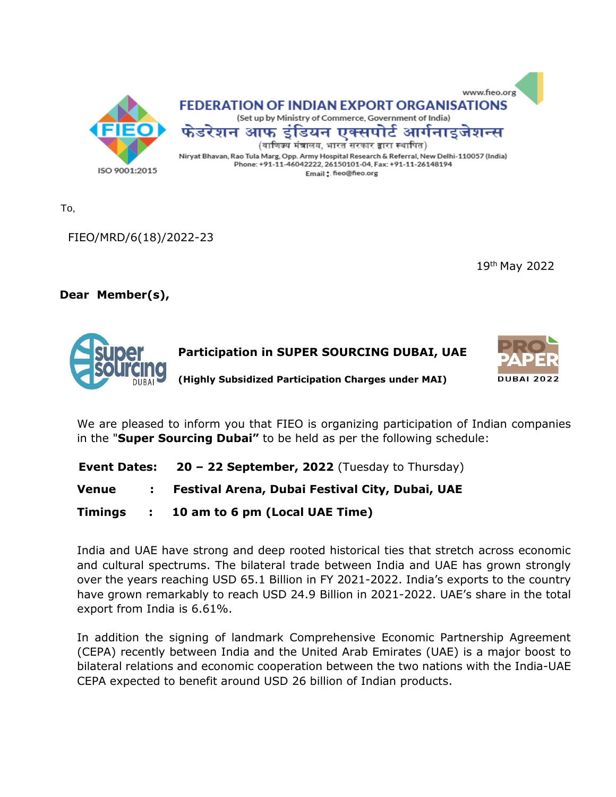

To,

FIEO/MRD/6(18)/2022-23

19th May 2022

### **Dear· Member(s),**



We are pleased to inform you that FIEO is organizing participation of Indian companies in the "**Super Sourcing Dubai"** to be held as per the following schedule:

|  | <b>Event Dates: 20 - 22 September, 2022</b> (Tuesday to Thursday) |  |
|--|-------------------------------------------------------------------|--|
|--|-------------------------------------------------------------------|--|

- **Venue : Festival Arena, Dubai Festival City, Dubai, UAE**
- **Timings : 10 am to 6 pm (Local UAE Time)**

India and UAE have strong and deep rooted historical ties that stretch across economic and cultural spectrums. The bilateral trade between India and UAE has grown strongly over the years reaching USD 65.1 Billion in FY 2021-2022. India's exports to the country have grown remarkably to reach USD 24.9 Billion in 2021-2022. UAE's share in the total export from India is 6.61%.

In addition the signing of landmark Comprehensive Economic Partnership Agreement (CEPA) recently between India and the United Arab Emirates (UAE) is a major boost to bilateral relations and economic cooperation between the two nations with the India-UAE CEPA expected to benefit around USD 26 billion of Indian products.

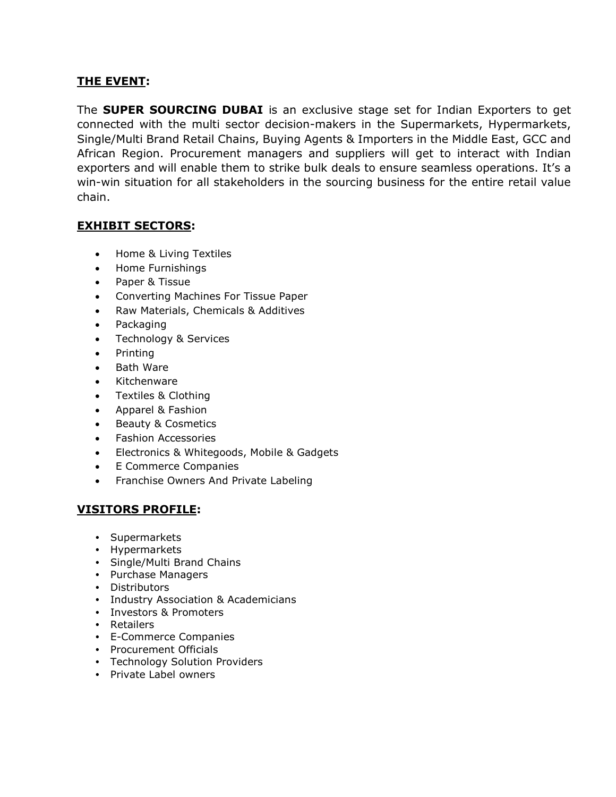#### **THE EVENT:**

The **SUPER SOURCING DUBAI** is an exclusive stage set for Indian Exporters to get connected with the multi sector decision-makers in the Supermarkets, Hypermarkets, Single/Multi Brand Retail Chains, Buying Agents & Importers in the Middle East, GCC and African Region. Procurement managers and suppliers will get to interact with Indian exporters and will enable them to strike bulk deals to ensure seamless operations. It's a win-win situation for all stakeholders in the sourcing business for the entire retail value chain.

#### **EXHIBIT SECTORS:**

- Home & Living Textiles
- Home Furnishings
- Paper & Tissue
- Converting Machines For Tissue Paper
- Raw Materials, Chemicals & Additives
- Packaging
- Technology & Services
- Printing
- Bath Ware
- Kitchenware
- Textiles & Clothing
- Apparel & Fashion
- Beauty & Cosmetics
- Fashion Accessories
- Electronics & Whitegoods, Mobile & Gadgets
- E Commerce Companies
- Franchise Owners And Private Labeling

### **VISITORS PROFILE:**

- Supermarkets
- Hypermarkets
- Single/Multi Brand Chains
- Purchase Managers
- Distributors
- Industry Association & Academicians
- Investors & Promoters
- Retailers
- E-Commerce Companies
- Procurement Officials
- Technology Solution Providers
- Private Label owners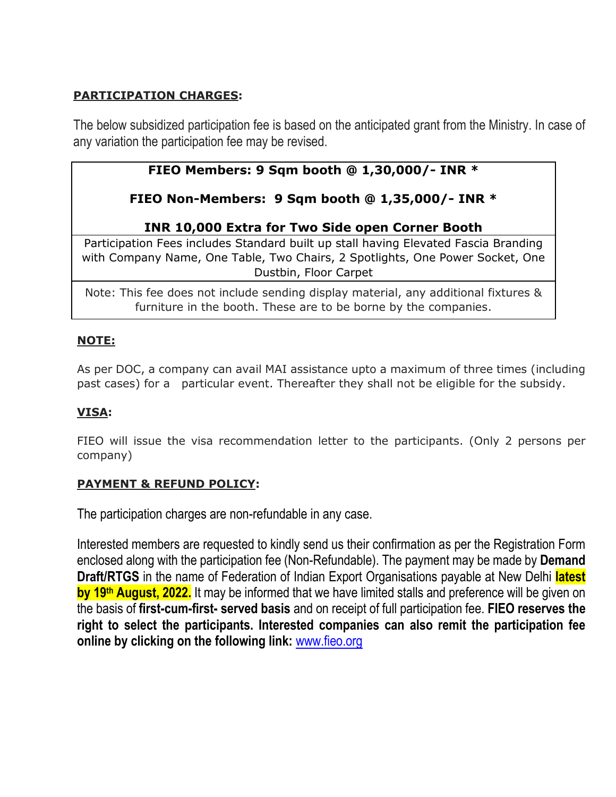## **PARTICIPATION CHARGES:**

The below subsidized participation fee is based on the anticipated grant from the Ministry. In case of any variation the participation fee may be revised.

# **FIEO Members: 9 Sqm booth @ 1,30,000/- INR \***

# **FIEO Non-Members: 9 Sqm booth @ 1,35,000/- INR \***

## **INR 10,000 Extra for Two Side open Corner Booth**

Participation Fees includes Standard built up stall having Elevated Fascia Branding with Company Name, One Table, Two Chairs, 2 Spotlights, One Power Socket, One Dustbin, Floor Carpet

Note: This fee does not include sending display material, any additional fixtures & furniture in the booth. These are to be borne by the companies.

### **NOTE:**

As per DOC, a company can avail MAI assistance upto a maximum of three times (including past cases) for a particular event. Thereafter they shall not be eligible for the subsidy.

## **VISA:**

FIEO will issue the visa recommendation letter to the participants. (Only 2 persons per company)

### **PAYMENT & REFUND POLICY:**

The participation charges are non-refundable in any case.

Interested members are requested to kindly send us their confirmation as per the Registration Form enclosed along with the participation fee (Non-Refundable). The payment may be made by **Demand Draft/RTGS** in the name of Federation of Indian Export Organisations payable at New Delhi **latest by 19th August, 2022.** It may be informed that we have limited stalls and preference will be given on the basis of **first-cum-first- served basis** and on receipt of full participation fee. **FIEO reserves the right to select the participants. Interested companies can also remit the participation fee online by clicking on the following link:** [www.fieo.org](http://www.fieo.org/)